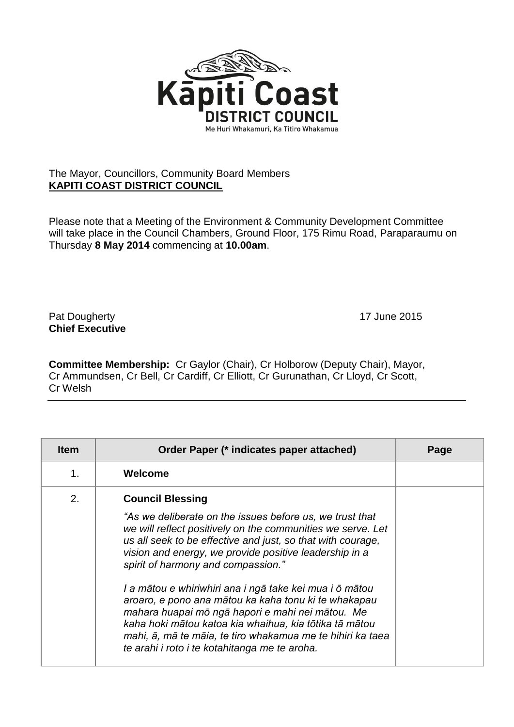

## The Mayor, Councillors, Community Board Members **KAPITI COAST DISTRICT COUNCIL**

Please note that a Meeting of the Environment & Community Development Committee will take place in the Council Chambers, Ground Floor, 175 Rimu Road, Paraparaumu on Thursday **8 May 2014** commencing at **10.00am**.

Pat Dougherty **17** June 2015 **Chief Executive**

**Committee Membership:** Cr Gaylor (Chair), Cr Holborow (Deputy Chair), Mayor, Cr Ammundsen, Cr Bell, Cr Cardiff, Cr Elliott, Cr Gurunathan, Cr Lloyd, Cr Scott, Cr Welsh

| Welcome<br>1.<br>2.<br><b>Council Blessing</b><br>"As we deliberate on the issues before us, we trust that                                                                                                                                                                                                                                                                                                                                                                                                  | <b>Item</b> | Order Paper (* indicates paper attached)                    | Page |
|-------------------------------------------------------------------------------------------------------------------------------------------------------------------------------------------------------------------------------------------------------------------------------------------------------------------------------------------------------------------------------------------------------------------------------------------------------------------------------------------------------------|-------------|-------------------------------------------------------------|------|
|                                                                                                                                                                                                                                                                                                                                                                                                                                                                                                             |             |                                                             |      |
| us all seek to be effective and just, so that with courage,<br>vision and energy, we provide positive leadership in a<br>spirit of harmony and compassion."<br>I a mātou e whiriwhiri ana i ngā take kei mua i ō mātou<br>aroaro, e pono ana mātou ka kaha tonu ki te whakapau<br>mahara huapai mō ngā hapori e mahi nei mātou. Me<br>kaha hoki mātou katoa kia whaihua, kia tōtika tā mātou<br>mahi, ā, mā te māia, te tiro whakamua me te hihiri ka taea<br>te arahi i roto i te kotahitanga me te aroha. |             | we will reflect positively on the communities we serve. Let |      |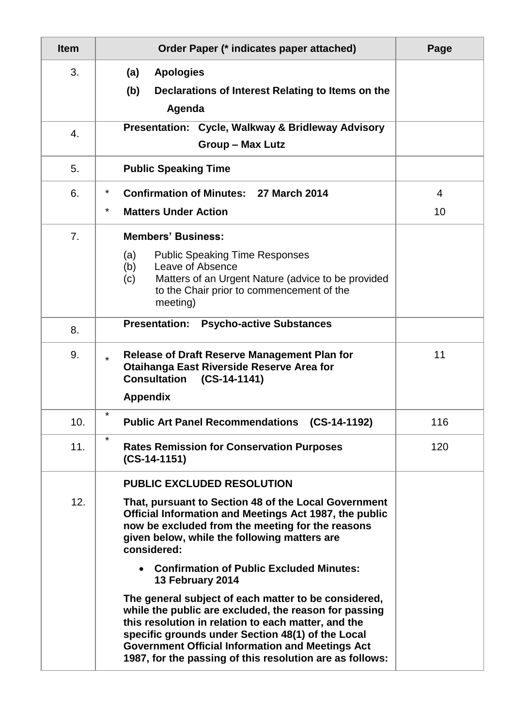| <b>Item</b> | Order Paper (* indicates paper attached)                                                                                                                                                                                                                                                                                                                                                                                                                                                                                                                                                                                                                                                          | Page    |
|-------------|---------------------------------------------------------------------------------------------------------------------------------------------------------------------------------------------------------------------------------------------------------------------------------------------------------------------------------------------------------------------------------------------------------------------------------------------------------------------------------------------------------------------------------------------------------------------------------------------------------------------------------------------------------------------------------------------------|---------|
| 3.          | <b>Apologies</b><br>(a)<br>(b)<br>Declarations of Interest Relating to Items on the<br>Agenda                                                                                                                                                                                                                                                                                                                                                                                                                                                                                                                                                                                                     |         |
| 4.          | Presentation: Cycle, Walkway & Bridleway Advisory<br><b>Group - Max Lutz</b>                                                                                                                                                                                                                                                                                                                                                                                                                                                                                                                                                                                                                      |         |
| 5.          | <b>Public Speaking Time</b>                                                                                                                                                                                                                                                                                                                                                                                                                                                                                                                                                                                                                                                                       |         |
| 6.          | $\ast$<br><b>Confirmation of Minutes: 27 March 2014</b><br>$^\star$<br><b>Matters Under Action</b>                                                                                                                                                                                                                                                                                                                                                                                                                                                                                                                                                                                                | 4<br>10 |
| 7.          | <b>Members' Business:</b><br>(a)<br><b>Public Speaking Time Responses</b><br>Leave of Absence<br>(b)<br>Matters of an Urgent Nature (advice to be provided<br>(c)<br>to the Chair prior to commencement of the<br>meeting)                                                                                                                                                                                                                                                                                                                                                                                                                                                                        |         |
| 8.          | <b>Psycho-active Substances</b><br><b>Presentation:</b>                                                                                                                                                                                                                                                                                                                                                                                                                                                                                                                                                                                                                                           |         |
| 9.          | <b>Release of Draft Reserve Management Plan for</b><br>$\star$<br><b>Otaihanga East Riverside Reserve Area for</b><br><b>Consultation</b><br>$(CS-14-1141)$<br><b>Appendix</b>                                                                                                                                                                                                                                                                                                                                                                                                                                                                                                                    | 11      |
| 10.         | $\star$<br><b>Public Art Panel Recommendations (CS-14-1192)</b>                                                                                                                                                                                                                                                                                                                                                                                                                                                                                                                                                                                                                                   | 116     |
| 11.         | $\star$<br><b>Rates Remission for Conservation Purposes</b><br>$(CS-14-1151)$                                                                                                                                                                                                                                                                                                                                                                                                                                                                                                                                                                                                                     | 120     |
| 12.         | <b>PUBLIC EXCLUDED RESOLUTION</b><br>That, pursuant to Section 48 of the Local Government<br>Official Information and Meetings Act 1987, the public<br>now be excluded from the meeting for the reasons<br>given below, while the following matters are<br>considered:<br><b>Confirmation of Public Excluded Minutes:</b><br>13 February 2014<br>The general subject of each matter to be considered,<br>while the public are excluded, the reason for passing<br>this resolution in relation to each matter, and the<br>specific grounds under Section 48(1) of the Local<br><b>Government Official Information and Meetings Act</b><br>1987, for the passing of this resolution are as follows: |         |